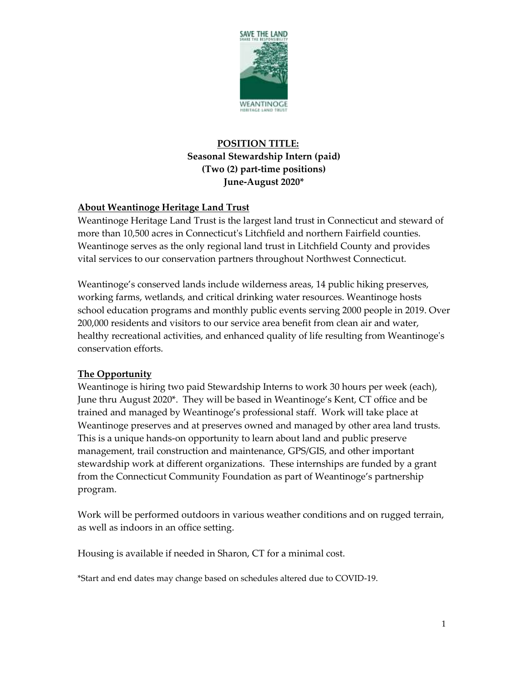

# **POSITION TITLE: Seasonal Stewardship Intern (paid) (Two (2) part-time positions) June-August 2020\***

# **About Weantinoge Heritage Land Trust**

Weantinoge Heritage Land Trust is the largest land trust in Connecticut and steward of more than 10,500 acres in Connecticut's Litchfield and northern Fairfield counties. Weantinoge serves as the only regional land trust in Litchfield County and provides vital services to our conservation partners throughout Northwest Connecticut.

Weantinoge's conserved lands include wilderness areas, 14 public hiking preserves, working farms, wetlands, and critical drinking water resources. Weantinoge hosts school education programs and monthly public events serving 2000 people in 2019. Over 200,000 residents and visitors to our service area benefit from clean air and water, healthy recreational activities, and enhanced quality of life resulting from Weantinoge's conservation efforts.

### **The Opportunity**

Weantinoge is hiring two paid Stewardship Interns to work 30 hours per week (each), June thru August 2020\*. They will be based in Weantinoge's Kent, CT office and be trained and managed by Weantinoge's professional staff. Work will take place at Weantinoge preserves and at preserves owned and managed by other area land trusts. This is a unique hands-on opportunity to learn about land and public preserve management, trail construction and maintenance, GPS/GIS, and other important stewardship work at different organizations. These internships are funded by a grant from the Connecticut Community Foundation as part of Weantinoge's partnership program.

Work will be performed outdoors in various weather conditions and on rugged terrain, as well as indoors in an office setting.

Housing is available if needed in Sharon, CT for a minimal cost.

\*Start and end dates may change based on schedules altered due to COVID-19.